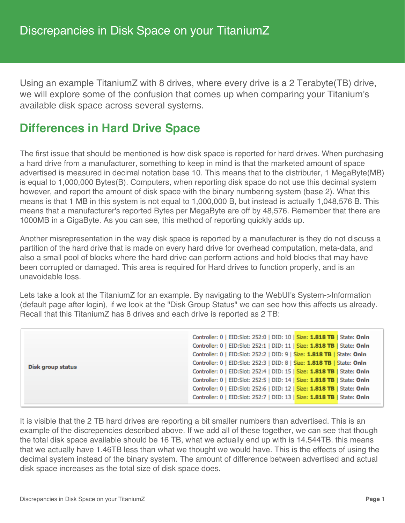Using an example TitaniumZ with 8 drives, where every drive is a 2 Terabyte(TB) drive, we will explore some of the confusion that comes up when comparing your Titanium's available disk space across several systems.

## **Differences in Hard Drive Space**

The first issue that should be mentioned is how disk space is reported for hard drives. When purchasing a hard drive from a manufacturer, something to keep in mind is that the marketed amount of space advertised is measured in decimal notation base 10. This means that to the distributer, 1 MegaByte(MB) is equal to 1,000,000 Bytes(B). Computers, when reporting disk space do not use this decimal system however, and report the amount of disk space with the binary numbering system (base 2). What this means is that 1 MB in this system is not equal to 1,000,000 B, but instead is actually 1,048,576 B. This means that a manufacturer's reported Bytes per MegaByte are off by 48,576. Remember that there are 1000MB in a GigaByte. As you can see, this method of reporting quickly adds up.

Another misrepresentation in the way disk space is reported by a manufacturer is they do not discuss a partition of the hard drive that is made on every hard drive for overhead computation, meta-data, and also a small pool of blocks where the hard drive can perform actions and hold blocks that may have been corrupted or damaged. This area is required for Hard drives to function properly, and is an unavoidable loss.

Lets take a look at the TitaniumZ for an example. By navigating to the WebUI's System->Information (default page after login), if we look at the "Disk Group Status" we can see how this affects us already. Recall that this TitaniumZ has 8 drives and each drive is reported as 2 TB:

| Disk group status | Controller: 0   EID:Slot: 252:0   DID: 10   Size: 1.818 TB   State: Onln |
|-------------------|--------------------------------------------------------------------------|
|                   | Controller: 0   EID:Slot: 252:1   DID: 11   Size: 1.818 TB   State: Onln |
|                   | Controller: 0   EID:Slot: 252:2   DID: 9   Size: 1.818 TB   State: Onln  |
|                   | Controller: 0   EID:Slot: 252:3   DID: 8   Size: 1.818 TB   State: Onln  |
|                   | Controller: 0   EID:Slot: 252:4   DID: 15   Size: 1.818 TB   State: Onln |
|                   | Controller: 0   EID:Slot: 252:5   DID: 14   Size: 1.818 TB   State: Onln |
|                   | Controller: 0   EID:Slot: 252:6   DID: 12   Size: 1.818 TB   State: Onln |
|                   | Controller: 0   EID:Slot: 252:7   DID: 13   Size: 1.818 TB   State: Onln |

It is visible that the 2 TB hard drives are reporting a bit smaller numbers than advertised. This is an example of the discrepencies described above. If we add all of these together, we can see that though the total disk space available should be 16 TB, what we actually end up with is 14.544TB. this means that we actually have 1.46TB less than what we thought we would have. This is the effects of using the decimal system instead of the binary system. The amount of difference between advertised and actual disk space increases as the total size of disk space does.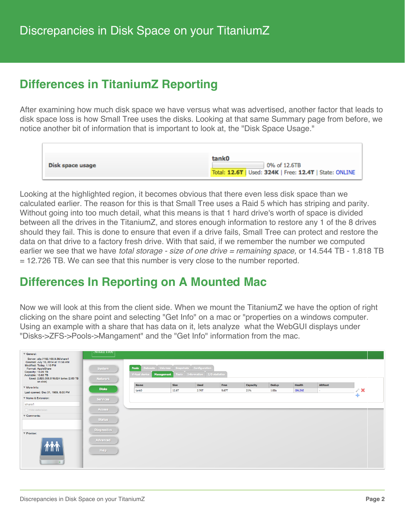# **Differences in TitaniumZ Reporting**

After examining how much disk space we have versus what was advertised, another factor that leads to disk space loss is how Small Tree uses the disks. Looking at that same Summary page from before, we notice another bit of information that is important to look at, the "Disk Space Usage."

|                  | tank0                                                                   |
|------------------|-------------------------------------------------------------------------|
| Disk space usage | 0% of 12.6TB<br>Total: 12.6T   Used: 324K   Free: 12.4T   State: ONLINE |

Looking at the highlighted region, it becomes obvious that there even less disk space than we calculated earlier. The reason for this is that Small Tree uses a Raid 5 which has striping and parity. Without going into too much detail, what this means is that 1 hard drive's worth of space is divided between all the drives in the TitaniumZ, and stores enough information to restore any 1 of the 8 drives should they fail. This is done to ensure that even if a drive fails, Small Tree can protect and restore the data on that drive to a factory fresh drive. With that said, if we remember the number we computed earlier we see that we have *total storage - size of one drive = remaining space,* or 14.544 TB - 1.818 TB = 12.726 TB. We can see that this number is very close to the number reported.

### **Differences In Reporting on A Mounted Mac**

Now we will look at this from the client side. When we mount the TitaniumZ we have the option of right clicking on the share point and selecting "Get Info" on a mac or "properties on a windows computer. Using an example with a share that has data on it, lets analyze what the WebGUI displays under "Disks->ZFS->Pools->Mangament" and the "Get Info" information from the mac.

| ▼ General:                                                                                                                                                                                                                   | энап нее                                                                                                                                                 |             |             |             |       |          |              |               |                |                 |  |
|------------------------------------------------------------------------------------------------------------------------------------------------------------------------------------------------------------------------------|----------------------------------------------------------------------------------------------------------------------------------------------------------|-------------|-------------|-------------|-------|----------|--------------|---------------|----------------|-----------------|--|
| Server: afp://192.168.9.38/share1<br>Created: July 10, 2014 at 11:56 AM<br>Modified: Today, 1:10 PM<br>Format: AppleShare<br>Capacity: 13.26 TB<br>Available: 10.63 TB<br>Used: 2,625,006,618,624 bytes (2.63 TB<br>on disk) | Datasets Volumes Snapshots Configuration<br>Pools<br>System<br>Tools Information I/O statistics<br><b>Management</b><br>Virtual device<br><b>Network</b> |             |             |             |       |          |              |               |                |                 |  |
| $\overline{\mathbf{v}}$ More Info:                                                                                                                                                                                           | <b>Disks</b>                                                                                                                                             | <b>Name</b> | <b>Size</b> | <b>Used</b> | Free  | Capacity | <b>Dedup</b> | <b>Health</b> | <b>AltRoot</b> |                 |  |
| Last opened: Dec 31, 1969, 6:00 PM                                                                                                                                                                                           |                                                                                                                                                          | tank0       | 12.6T       | 2.76T       | 9.67T | 21%      | 1.00x        | ONLINE        | ×.             | $\mathscr{E}$ X |  |
| ▼ Name & Extension:                                                                                                                                                                                                          | Services                                                                                                                                                 |             |             |             |       |          |              |               |                | 41              |  |
| share1                                                                                                                                                                                                                       |                                                                                                                                                          |             |             |             |       |          |              |               |                |                 |  |
| $\Box$ Hide extension                                                                                                                                                                                                        | Access                                                                                                                                                   |             |             |             |       |          |              |               |                |                 |  |
| Comments:                                                                                                                                                                                                                    |                                                                                                                                                          |             |             |             |       |          |              |               |                |                 |  |
|                                                                                                                                                                                                                              | <b>Status</b>                                                                                                                                            |             |             |             |       |          |              |               |                |                 |  |
|                                                                                                                                                                                                                              | <b>Diagnostics</b>                                                                                                                                       |             |             |             |       |          |              |               |                |                 |  |
| ▼ Preview:                                                                                                                                                                                                                   |                                                                                                                                                          |             |             |             |       |          |              |               |                |                 |  |
| <b>TYTY I</b>                                                                                                                                                                                                                | Advanced<br>Help                                                                                                                                         |             |             |             |       |          |              |               |                |                 |  |